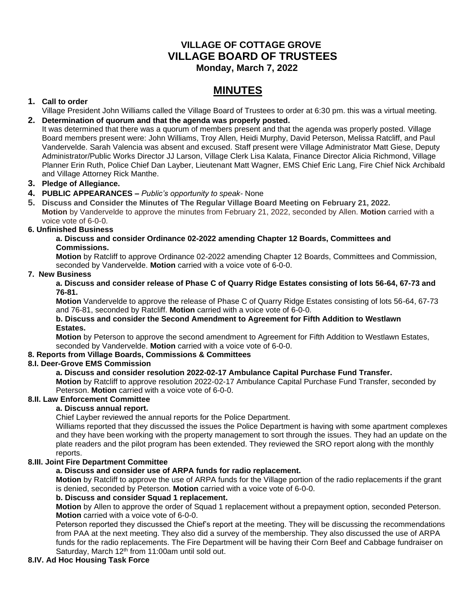# **VILLAGE OF COTTAGE GROVE VILLAGE BOARD OF TRUSTEES Monday, March 7, 2022**

# **MINUTES**

# **1. Call to order**

Village President John Williams called the Village Board of Trustees to order at 6:30 pm. this was a virtual meeting. **2. Determination of quorum and that the agenda was properly posted.**

It was determined that there was a quorum of members present and that the agenda was properly posted. Village Board members present were: John Williams, Troy Allen, Heidi Murphy, David Peterson, Melissa Ratcliff, and Paul Vandervelde. Sarah Valencia was absent and excused. Staff present were Village Administrator Matt Giese, Deputy Administrator/Public Works Director JJ Larson, Village Clerk Lisa Kalata, Finance Director Alicia Richmond, Village Planner Erin Ruth, Police Chief Dan Layber, Lieutenant Matt Wagner, EMS Chief Eric Lang, Fire Chief Nick Archibald and Village Attorney Rick Manthe.

# **3. Pledge of Allegiance.**

## **4. PUBLIC APPEARANCES –** *Public's opportunity to speak-* None

**5. Discuss and Consider the Minutes of The Regular Village Board Meeting on February 21, 2022. Motion** by Vandervelde to approve the minutes from February 21, 2022, seconded by Allen. **Motion** carried with a voice vote of 6-0-0.

## **6. Unfinished Business**

## **a. Discuss and consider Ordinance 02-2022 amending Chapter 12 Boards, Committees and Commissions.**

**Motion** by Ratcliff to approve Ordinance 02-2022 amending Chapter 12 Boards, Committees and Commission, seconded by Vandervelde. **Motion** carried with a voice vote of 6-0-0.

#### **7. New Business**

#### **a. Discuss and consider release of Phase C of Quarry Ridge Estates consisting of lots 56-64, 67-73 and 76-81.**

**Motion** Vandervelde to approve the release of Phase C of Quarry Ridge Estates consisting of lots 56-64, 67-73 and 76-81, seconded by Ratcliff. **Motion** carried with a voice vote of 6-0-0.

#### **b. Discuss and consider the Second Amendment to Agreement for Fifth Addition to Westlawn Estates.**

**Motion** by Peterson to approve the second amendment to Agreement for Fifth Addition to Westlawn Estates, seconded by Vandervelde. **Motion** carried with a voice vote of 6-0-0.

## **8. Reports from Village Boards, Commissions & Committees**

## **8.I. Deer-Grove EMS Commission**

## **a. Discuss and consider resolution 2022-02-17 Ambulance Capital Purchase Fund Transfer.**

**Motion** by Ratcliff to approve resolution 2022-02-17 Ambulance Capital Purchase Fund Transfer, seconded by Peterson. **Motion** carried with a voice vote of 6-0-0.

# **8.II. Law Enforcement Committee**

## **a. Discuss annual report.**

Chief Layber reviewed the annual reports for the Police Department.

Williams reported that they discussed the issues the Police Department is having with some apartment complexes and they have been working with the property management to sort through the issues. They had an update on the plate readers and the pilot program has been extended. They reviewed the SRO report along with the monthly reports.

## **8.III. Joint Fire Department Committee**

# **a. Discuss and consider use of ARPA funds for radio replacement.**

**Motion** by Ratcliff to approve the use of ARPA funds for the Village portion of the radio replacements if the grant is denied, seconded by Peterson. **Motion** carried with a voice vote of 6-0-0.

## **b. Discuss and consider Squad 1 replacement.**

**Motion** by Allen to approve the order of Squad 1 replacement without a prepayment option, seconded Peterson. **Motion** carried with a voice vote of 6-0-0.

Peterson reported they discussed the Chief's report at the meeting. They will be discussing the recommendations from PAA at the next meeting. They also did a survey of the membership. They also discussed the use of ARPA funds for the radio replacements. The Fire Department will be having their Corn Beef and Cabbage fundraiser on Saturday, March  $12<sup>th</sup>$  from 11:00am until sold out.

## **8.IV. Ad Hoc Housing Task Force**